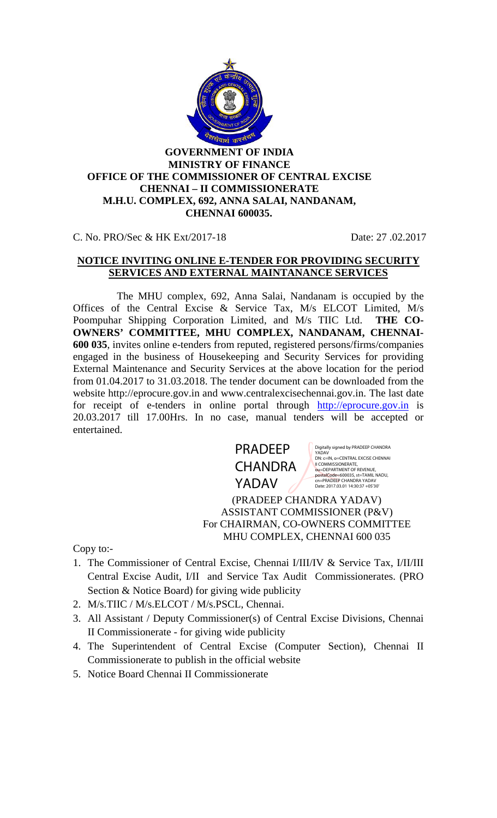

C. No. PRO/Sec & HK Ext/2017-18 Date: 27 .02.2017

### **NOTICE INVITING ONLINE E-TENDER FOR PROVIDING SECURITY SERVICES AND EXTERNAL MAINTANANCE SERVICES**

The MHU complex, 692, Anna Salai, Nandanam is occupied by the Offices of the Central Excise & Service Tax, M/s ELCOT Limited, M/s Poompuhar Shipping Corporation Limited, and M/s TIIC Ltd. **THE CO- OWNERS' COMMITTEE, MHU COMPLEX, NANDANAM, CHENNAI- 600 035**, invites online e-tenders from reputed, registered persons/firms/companies engaged in the business of Housekeeping and Security Services for providing External Maintenance and Security Services at the above location for the period from 01.04.2017 to 31.03.2018. The tender document can be downloaded from the website http://eprocure.gov.in and www.centralexcisechennai.gov.in. The last date for receipt of e-tenders in online portal through http://eprocure.gov.in is 20.03.2017 till 17.00Hrs. In no case, manual tenders will be accepted or entertained.



Digitally signed by PRADEEP CHANDRA<br>YADAV<br>DN: c=IN, o=CENTRAL EXCISE CHENNAI<br>II COMMISSIONERATE,<br>ou=DEPARTMENT OF REVENUE,<br>ou=DEPARTMENT OF REVENUE,<br>postalCode=600035, st=TAMIL NADU, cn=PRADEEP CHANDRA YADAV Date: 2017.03.01 14:30:37 +05'30'

(PRADEEP CHANDRA YADAV) ASSISTANT COMMISSIONER (P&V) For CHAIRMAN, CO-OWNERS COMMITTEE MHU COMPLEX, CHENNAI 600 035

Copy to:-

- 1. The Commissioner of Central Excise, Chennai I/III/IV & Service Tax, I/II/III Central Excise Audit, I/II and Service Tax Audit Commissionerates. (PRO Section & Notice Board) for giving wide publicity
- 2. M/s.TIIC / M/s.ELCOT / M/s.PSCL, Chennai.
- 3. All Assistant / Deputy Commissioner(s) of Central Excise Divisions, Chennai II Commissionerate - for giving wide publicity
- 4. The Superintendent of Central Excise (Computer Section), Chennai II Commissionerate to publish in the official website
- 5. Notice Board Chennai II Commissionerate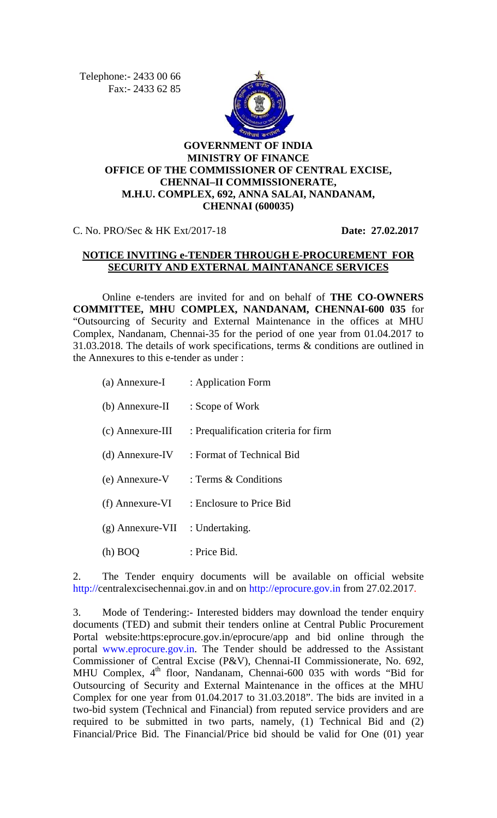Telephone :- 2433 00 66 Fax :- 2433 62 85



# **GOVERNMENT OF INDIA MINISTRY OF FINANCE OFFICE OF THE COMMISSIONER OF CENTRAL EXCISE, CHENNAI–II COMMISSIONERATE, M.H.U. COMPLEX, 692, ANNA SALAI, NANDANAM, CHENNAI (600035)**

C. No. PRO/Sec & HK Ext/2017-18 **Date: 27.02.2017**

### **NOTICE INVITING e-TENDER THROUGH E-PROCUREMENT FOR SECURITY AND EXTERNAL MAINTANANCE SERVICES**

Online e-tenders are invited for and on behalf of **THE CO-OWNERS COMMITTEE, MHU COMPLEX, NANDANAM, CHENNAI-600 035** for "Outsourcing of Security and External Maintenance in the offices at MHU Complex, Nandanam, Chennai-35 for the period of one year from 01.04.2017 to 31.03.2018. The details of work specifications, terms & conditions are outlined in the Annexures to this e-tender as under :

| (a) Annexure-I                    | : Application Form                             |
|-----------------------------------|------------------------------------------------|
| (b) Annexure-II                   | : Scope of Work                                |
| $(c)$ Annexure-III                | : Prequalification criteria for firm           |
|                                   | (d) Annexure-IV : Format of Technical Bid      |
|                                   | (e) Annexure-V $\therefore$ Terms & Conditions |
|                                   | (f) Annexure-VI : Enclosure to Price Bid       |
| $(g)$ Annexure-VII : Undertaking. |                                                |
| (h) BOQ                           | : Price Bid.                                   |

2. The Tender enquiry documents will be available on official website http://centralexcisechennai.gov.in and on http://eprocure.gov.in from 27.02.2017.

3. Mode of Tendering:- Interested bidders may download the tender enquiry documents (TED) and submit their tenders online at Central Public Procurement Portal website:https:eprocure.gov.in/eprocure/app and bid online through the portal www.eprocure.gov.in. The Tender should be addressed to the Assistant Commissioner of Central Excise (P&V), Chennai-II Commissionerate, No. 692, MHU Complex, 4<sup>th</sup> floor, Nandanam, Chennai-600 035 with words "Bid for Outsourcing of Security and External Maintenance in the offices at the MHU Complex for one year from 01.04.2017 to 31.03.2018". The bids are invited in a two-bid system (Technical and Financial) from reputed service providers and are required to be submitted in two parts, namely, (1) Technical Bid and (2) Financial/Price Bid. The Financial/Price bid should be valid for One (01) year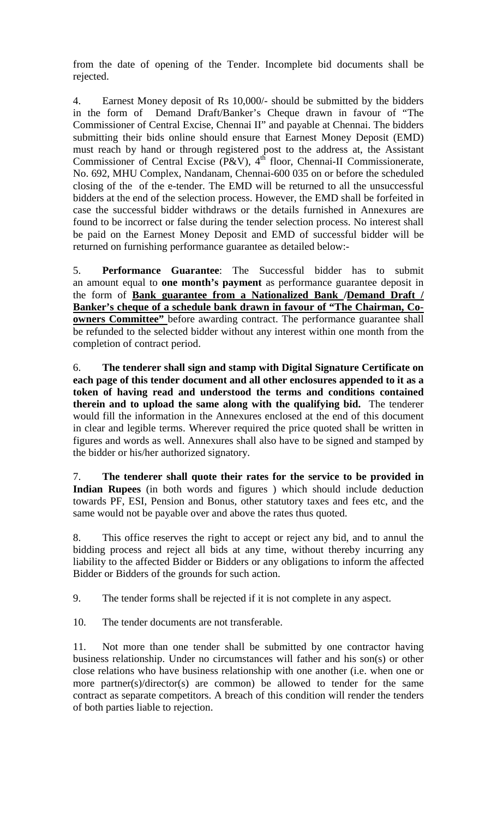from the date of opening of the Tender. Incomplete bid documents shall be rejected.

4. Earnest Money deposit of Rs 10,000/- should be submitted by the bidders in the form of Demand Draft/Banker's Cheque drawn in favour of "The Commissioner of Central Excise, Chennai II" and payable at Chennai. The bidders submitting their bids online should ensure that Earnest Money Deposit (EMD) must reach by hand or through registered post to the address at, the Assistant Commissioner of Central Excise (P&V),  $4<sup>th</sup>$  floor, Chennai-II Commissionerate, No. 692, MHU Complex, Nandanam, Chennai-600 035 on or before the scheduled closing of the of the e-tender. The EMD will be returned to all the unsuccessful bidders at the end of the selection process. However, the EMD shall be forfeited in case the successful bidder withdraws or the details furnished in Annexures are found to be incorrect or false during the tender selection process. No interest shall be paid on the Earnest Money Deposit and EMD of successful bidder will be returned on furnishing performance guarantee as detailed below:-

5. **Performance Guarantee**: The Successful bidder has to submit an amount equal to **one month's payment** as performance guarantee deposit in the form of **Bank guarantee from a Nationalized Bank /Demand Draft / Banker's cheque of a schedule bank drawn in favour of "The Chairman, Co owners Committee"** before awarding contract. The performance guarantee shall be refunded to the selected bidder without any interest within one month from the completion of contract period.

6. **The tenderer shall sign and stamp with Digital Signature Certificate on each page of this tender document and all other enclosures appended to it as a token of having read and understood the terms and conditions contained therein and to upload the same along with the qualifying bid.** The tenderer would fill the information in the Annexures enclosed at the end of this document in clear and legible terms. Wherever required the price quoted shall be written in figures and words as well. Annexures shall also have to be signed and stamped by the bidder or his/her authorized signatory.

7. **The tenderer shall quote their rates for the service to be provided in Indian Rupees** (in both words and figures ) which should include deduction towards PF, ESI, Pension and Bonus, other statutory taxes and fees etc, and the same would not be payable over and above the rates thus quoted.

8. This office reserves the right to accept or reject any bid, and to annul the bidding process and reject all bids at any time, without thereby incurring any liability to the affected Bidder or Bidders or any obligations to inform the affected Bidder or Bidders of the grounds for such action.

9. The tender forms shall be rejected if it is not complete in any aspect.

10. The tender documents are not transferable.

11. Not more than one tender shall be submitted by one contractor having business relationship. Under no circumstances will father and his son(s) or other close relations who have business relationship with one another (i.e. when one or more partner(s)/director(s) are common) be allowed to tender for the same contract as separate competitors. A breach of this condition will render the tenders of both parties liable to rejection.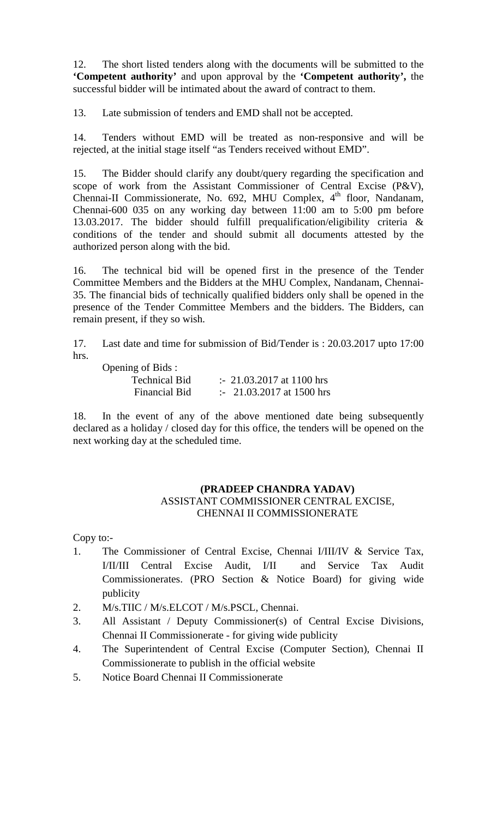12. The short listed tenders along with the documents will be submitted to the **'Competent authority'** and upon approval by the **'Competent authority',** the successful bidder will be intimated about the award of contract to them.

13. Late submission of tenders and EMD shall not be accepted.

14. Tenders without EMD will be treated as non-responsive and will be rejected, at the initial stage itself "as Tenders received without EMD".

15. The Bidder should clarify any doubt/query regarding the specification and scope of work from the Assistant Commissioner of Central Excise (P&V), Chennai-II Commissionerate, No. 692, MHU Complex, 4<sup>th</sup> floor, Nandanam, Chennai-600 035 on any working day between 11:00 am to 5:00 pm before 13.03.2017. The bidder should fulfill prequalification/eligibility criteria & conditions of the tender and should submit all documents attested by the authorized person along with the bid.

16. The technical bid will be opened first in the presence of the Tender Committee Members and the Bidders at the MHU Complex, Nandanam, Chennai- 35. The financial bids of technically qualified bidders only shall be opened in the presence of the Tender Committee Members and the bidders. The Bidders, can remain present, if they so wish.

17. Last date and time for submission of Bid/Tender is : 20.03.2017 upto 17:00 hrs.

Opening of Bids :

| $\mu$ and $\mu$ or Drus. |                                     |
|--------------------------|-------------------------------------|
| <b>Technical Bid</b>     | $\therefore$ 21.03.2017 at 1100 hrs |
| Financial Bid            | $\therefore$ 21.03.2017 at 1500 hrs |

18. In the event of any of the above mentioned date being subsequently declared as a holiday / closed day for this office, the tenders will be opened on the next working day at the scheduled time.

### **(PRADEEP CHANDRA YADAV)** ASSISTANT COMMISSIONER CENTRAL EXCISE, CHENNAI II COMMISSIONERATE

Copy to:-

- 1. The Commissioner of Central Excise, Chennai I/III/IV & Service Tax, I/II/III Central Excise Audit, I/II and Service Tax Audit Commissionerates. (PRO Section & Notice Board) for giving wide publicity
- 2. M/s.TIIC / M/s.ELCOT / M/s.PSCL, Chennai.
- 3. All Assistant / Deputy Commissioner(s) of Central Excise Divisions, Chennai II Commissionerate - for giving wide publicity
- 4. The Superintendent of Central Excise (Computer Section), Chennai II Commissionerate to publish in the official website
- 5. Notice Board Chennai II Commissionerate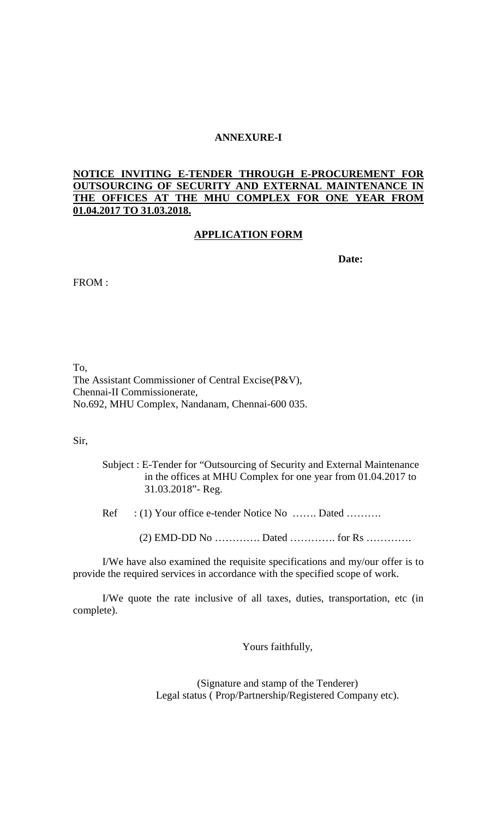### **ANNEXURE-I**

### **NOTICE INVITING E-TENDER THROUGH E-PROCUREMENT FOR OUTSOURCING OF SECURITY AND EXTERNAL MAINTENANCE IN THE OFFICES AT THE MHU COMPLEX FOR ONE YEAR FROM 01.04.2017 TO 31.03.2018.**

### **APPLICATION FORM**

**Date:**

FROM :

To, The Assistant Commissioner of Central Excise(P&V), Chennai-II Commissionerate, No.692, MHU Complex, Nandanam, Chennai-600 035.

Sir,

- Subject : E-Tender for "Outsourcing of Security and External Maintenance in the offices at MHU Complex for one year from 01.04.2017 to 31.03.2018"- Reg.
- Ref : (1) Your office e-tender Notice No …….. Dated ……….
	- $(2)$  EMD-DD No  $\dots\dots\dots\dots$  Dated  $\dots\dots\dots\dots$  for Rs  $\dots\dots\dots\dots\dots$

I/We have also examined the requisite specifications and my/our offer is to provide the required services in accordance with the specified scope of work.

I/We quote the rate inclusive of all taxes, duties, transportation, etc (in complete).

Yours faithfully,

(Signature and stamp of the Tenderer) Legal status ( Prop/Partnership/Registered Company etc).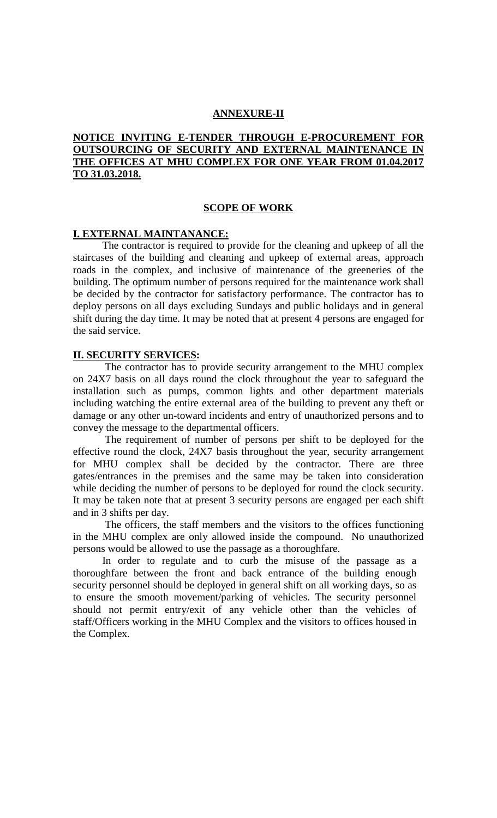#### **ANNEXURE-II**

### **NOTICE INVITING E-TENDER THROUGH E-PROCUREMENT FOR OUTSOURCING OF SECURITY AND EXTERNAL MAINTENANCE IN THE OFFICES AT MHU COMPLEX FOR ONE YEAR FROM 01.04.2017 TO 31.03.2018.**

#### **SCOPE OF WORK**

#### **I. EXTERNAL MAINTANANCE:**

The contractor is required to provide for the cleaning and upkeep of all the staircases of the building and cleaning and upkeep of external areas, approach roads in the complex, and inclusive of maintenance of the greeneries of the building. The optimum number of persons required for the maintenance work shall be decided by the contractor for satisfactory performance. The contractor has to deploy persons on all days excluding Sundays and public holidays and in general shift during the day time. It may be noted that at present 4 persons are engaged for the said service.

### **II. SECURITY SERVICES:**

The contractor has to provide security arrangement to the MHU complex on 24X7 basis on all days round the clock throughout the year to safeguard the installation such as pumps, common lights and other department materials including watching the entire external area of the building to prevent any theft or damage or any other un-toward incidents and entry of unauthorized persons and to convey the message to the departmental officers.

The requirement of number of persons per shift to be deployed for the effective round the clock, 24X7 basis throughout the year, security arrangement for MHU complex shall be decided by the contractor. There are three gates/entrances in the premises and the same may be taken into consideration while deciding the number of persons to be deployed for round the clock security. It may be taken note that at present 3 security persons are engaged per each shift and in 3 shifts per day.

The officers, the staff members and the visitors to the offices functioning in the MHU complex are only allowed inside the compound. No unauthorized persons would be allowed to use the passage as a thoroughfare.

In order to regulate and to curb the misuse of the passage as a thoroughfare between the front and back entrance of the building enough security personnel should be deployed in general shift on all working days, so as to ensure the smooth movement/parking of vehicles. The security personnel should not permit entry/exit of any vehicle other than the vehicles of staff/Officers working in the MHU Complex and the visitors to offices housed in the Complex.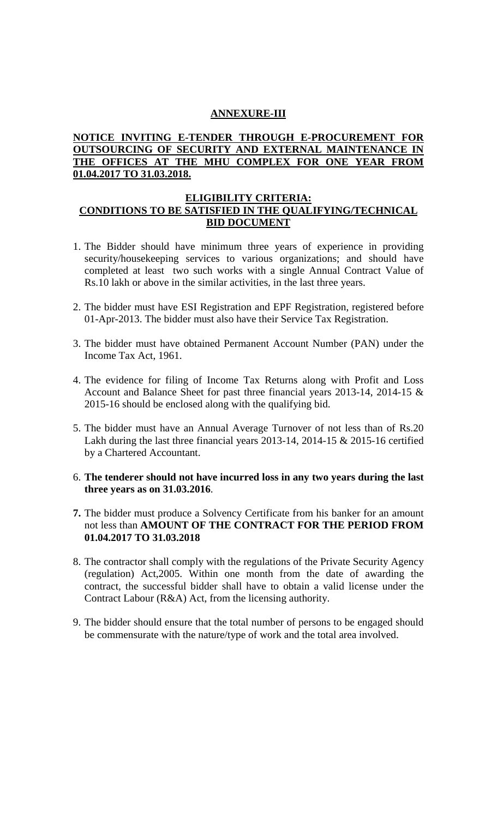### **ANNEXURE-III**

### **NOTICE INVITING E-TENDER THROUGH E-PROCUREMENT FOR OUTSOURCING OF SECURITY AND EXTERNAL MAINTENANCE IN THE OFFICES AT THE MHU COMPLEX FOR ONE YEAR FROM 01.04.2017 TO 31.03.2018.**

#### **ELIGIBILITY CRITERIA: CONDITIONS TO BE SATISFIED IN THE QUALIFYING/TECHNICAL BID DOCUMENT**

- 1. The Bidder should have minimum three years of experience in providing security/housekeeping services to various organizations; and should have completed at least two such works with a single Annual Contract Value of Rs.10 lakh or above in the similar activities, in the last three years.
- 2. The bidder must have ESI Registration and EPF Registration, registered before 01-Apr-2013. The bidder must also have their Service Tax Registration.
- 3. The bidder must have obtained Permanent Account Number (PAN) under the Income Tax Act, 1961.
- 4. The evidence for filing of Income Tax Returns along with Profit and Loss Account and Balance Sheet for past three financial years 2013-14, 2014-15 & 2015-16 should be enclosed along with the qualifying bid.
- 5. The bidder must have an Annual Average Turnover of not less than of Rs.20 Lakh during the last three financial years 2013-14, 2014-15 & 2015-16 certified by a Chartered Accountant.
- 6. **The tenderer should not have incurred loss in any two years during the last three years as on 31.03.2016**.
- **7.** The bidder must produce a Solvency Certificate from his banker for an amount not less than **AMOUNT OF THE CONTRACT FOR THE PERIOD FROM 01.04.2017 TO 31.03.2018**
- 8. The contractor shall comply with the regulations of the Private Security Agency (regulation) Act,2005. Within one month from the date of awarding the contract, the successful bidder shall have to obtain a valid license under the Contract Labour (R&A) Act, from the licensing authority.
- 9. The bidder should ensure that the total number of persons to be engaged should be commensurate with the nature/type of work and the total area involved.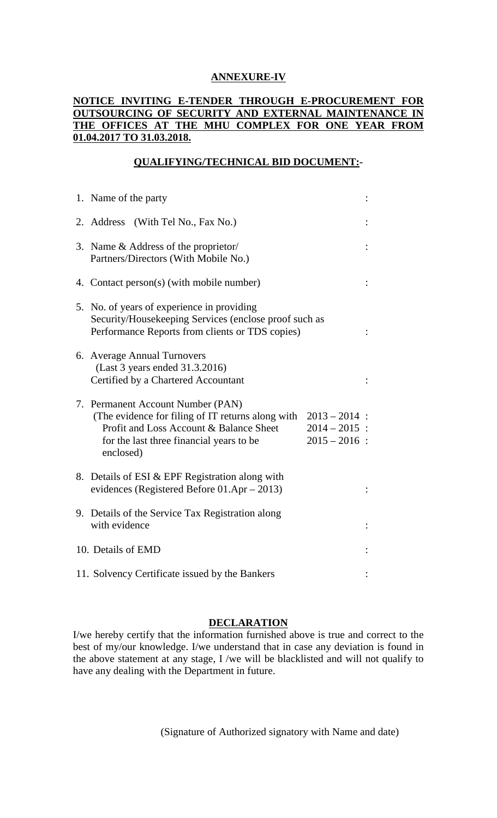## **ANNEXURE-IV**

# **NOTICE INVITING E-TENDER THROUGH E-PROCUREMENT FOR OUTSOURCING OF SECURITY AND EXTERNAL MAINTENANCE IN THE OFFICES AT THE MHU COMPLEX FOR ONE YEAR FROM 01.04.2017 TO 31.03.2018.**

# **QUALIFYING/TECHNICAL BID DOCUMENT:-**

| 1. Name of the party                                                                                                                                                                                                                                |  |
|-----------------------------------------------------------------------------------------------------------------------------------------------------------------------------------------------------------------------------------------------------|--|
| 2. Address (With Tel No., Fax No.)                                                                                                                                                                                                                  |  |
| 3. Name & Address of the proprietor/<br>Partners/Directors (With Mobile No.)                                                                                                                                                                        |  |
| 4. Contact person(s) (with mobile number)                                                                                                                                                                                                           |  |
| 5. No. of years of experience in providing<br>Security/Housekeeping Services (enclose proof such as<br>Performance Reports from clients or TDS copies)                                                                                              |  |
| 6. Average Annual Turnovers<br>(Last 3 years ended 31.3.2016)<br>Certified by a Chartered Accountant                                                                                                                                                |  |
| 7. Permanent Account Number (PAN)<br>(The evidence for filing of IT returns along with<br>$2013 - 2014$ :<br>Profit and Loss Account & Balance Sheet<br>$2014 - 2015$ :<br>$2015 - 2016$ :<br>for the last three financial years to be<br>enclosed) |  |
| 8. Details of ESI & EPF Registration along with<br>evidences (Registered Before $01.$ Apr $- 2013$ )                                                                                                                                                |  |
| 9. Details of the Service Tax Registration along<br>with evidence                                                                                                                                                                                   |  |
| 10. Details of EMD                                                                                                                                                                                                                                  |  |
| 11. Solvency Certificate issued by the Bankers                                                                                                                                                                                                      |  |

### **DECLARATION**

I/we hereby certify that the information furnished above is true and correct to the best of my/our knowledge. I/we understand that in case any deviation is found in the above statement at any stage, I /we will be blacklisted and will not qualify to have any dealing with the Department in future.

(Signature of Authorized signatory with Name and date)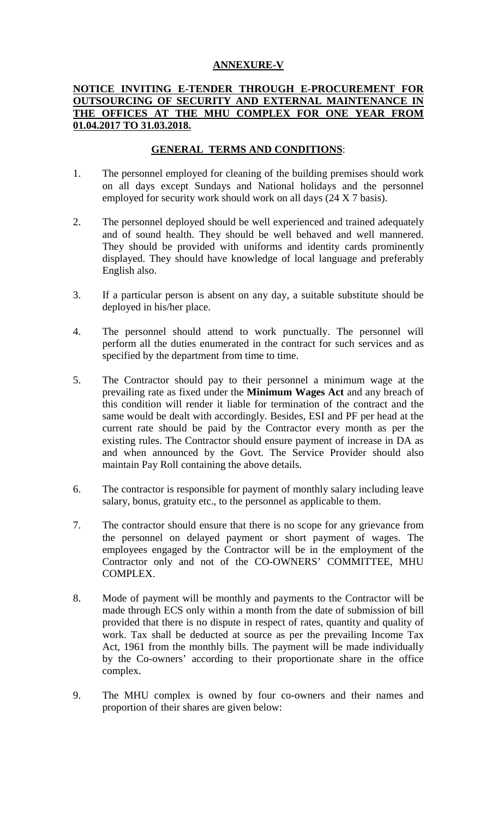### **ANNEXURE-V**

### **NOTICE INVITING E-TENDER THROUGH E-PROCUREMENT FOR OUTSOURCING OF SECURITY AND EXTERNAL MAINTENANCE IN THE OFFICES AT THE MHU COMPLEX FOR ONE YEAR FROM 01.04.2017 TO 31.03.2018.**

# **GENERAL TERMS AND CONDITIONS**:

- 1. The personnel employed for cleaning of the building premises should work on all days except Sundays and National holidays and the personnel employed for security work should work on all days (24 X 7 basis).
- 2. The personnel deployed should be well experienced and trained adequately and of sound health. They should be well behaved and well mannered. They should be provided with uniforms and identity cards prominently displayed. They should have knowledge of local language and preferably English also.
- 3. If a particular person is absent on any day, a suitable substitute should be deployed in his/her place.
- 4. The personnel should attend to work punctually. The personnel will perform all the duties enumerated in the contract for such services and as specified by the department from time to time.
- 5. The Contractor should pay to their personnel a minimum wage at the prevailing rate as fixed under the **Minimum Wages Act** and any breach of this condition will render it liable for termination of the contract and the same would be dealt with accordingly. Besides, ESI and PF per head at the current rate should be paid by the Contractor every month as per the existing rules. The Contractor should ensure payment of increase in DA as and when announced by the Govt. The Service Provider should also maintain Pay Roll containing the above details.
- 6. The contractor is responsible for payment of monthly salary including leave salary, bonus, gratuity etc., to the personnel as applicable to them.
- 7. The contractor should ensure that there is no scope for any grievance from the personnel on delayed payment or short payment of wages. The employees engaged by the Contractor will be in the employment of the Contractor only and not of the CO-OWNERS' COMMITTEE, MHU COMPLEX.
- 8. Mode of payment will be monthly and payments to the Contractor will be made through ECS only within a month from the date of submission of bill provided that there is no dispute in respect of rates, quantity and quality of work. Tax shall be deducted at source as per the prevailing Income Tax Act, 1961 from the monthly bills. The payment will be made individually by the Co-owners' according to their proportionate share in the office complex.
- 9. The MHU complex is owned by four co-owners and their names and proportion of their shares are given below: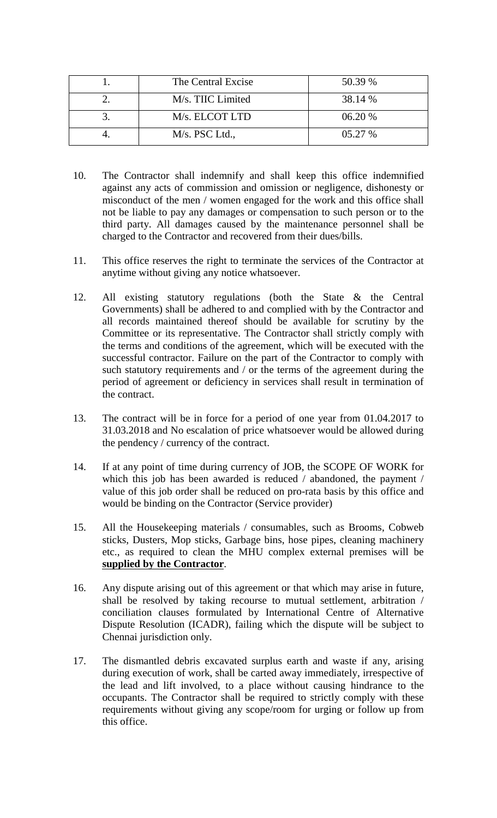| The Central Excise | 50.39 % |
|--------------------|---------|
| M/s. TIIC Limited  | 38.14 % |
| M/s. ELCOT LTD     | 06.20 % |
| M/s. PSC Ltd.,     | 05.27%  |

- 10. The Contractor shall indemnify and shall keep this office indemnified against any acts of commission and omission or negligence, dishonesty or misconduct of the men / women engaged for the work and this office shall not be liable to pay any damages or compensation to such person or to the third party. All damages caused by the maintenance personnel shall be charged to the Contractor and recovered from their dues/bills.
- 11. This office reserves the right to terminate the services of the Contractor at anytime without giving any notice whatsoever.
- 12. All existing statutory regulations (both the State & the Central Governments) shall be adhered to and complied with by the Contractor and all records maintained thereof should be available for scrutiny by the Committee or its representative. The Contractor shall strictly comply with the terms and conditions of the agreement, which will be executed with the successful contractor. Failure on the part of the Contractor to comply with such statutory requirements and / or the terms of the agreement during the period of agreement or deficiency in services shall result in termination of the contract.
- 13. The contract will be in force for a period of one year from 01.04.2017 to 31.03.2018 and No escalation of price whatsoever would be allowed during the pendency / currency of the contract.
- 14. If at any point of time during currency of JOB, the SCOPE OF WORK for which this job has been awarded is reduced / abandoned, the payment / value of this job order shall be reduced on pro-rata basis by this office and would be binding on the Contractor (Service provider)
- 15. All the Housekeeping materials / consumables, such as Brooms, Cobweb sticks, Dusters, Mop sticks, Garbage bins, hose pipes, cleaning machinery etc., as required to clean the MHU complex external premises will be **supplied by the Contractor**.
- 16. Any dispute arising out of this agreement or that which may arise in future, shall be resolved by taking recourse to mutual settlement, arbitration / conciliation clauses formulated by International Centre of Alternative Dispute Resolution (ICADR), failing which the dispute will be subject to Chennai jurisdiction only.
- 17. The dismantled debris excavated surplus earth and waste if any, arising during execution of work, shall be carted away immediately, irrespective of the lead and lift involved, to a place without causing hindrance to the occupants. The Contractor shall be required to strictly comply with these requirements without giving any scope/room for urging or follow up from this office.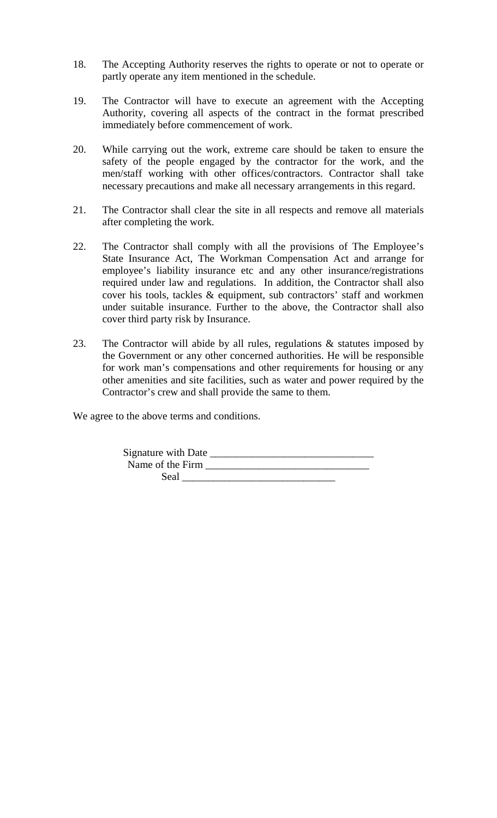- 18. The Accepting Authority reserves the rights to operate or not to operate or partly operate any item mentioned in the schedule.
- 19. The Contractor will have to execute an agreement with the Accepting Authority, covering all aspects of the contract in the format prescribed immediately before commencement of work.
- 20. While carrying out the work, extreme care should be taken to ensure the safety of the people engaged by the contractor for the work, and the men/staff working with other offices/contractors. Contractor shall take necessary precautions and make all necessary arrangements in this regard.
- 21. The Contractor shall clear the site in all respects and remove all materials after completing the work.
- 22. The Contractor shall comply with all the provisions of The Employee's State Insurance Act, The Workman Compensation Act and arrange for employee's liability insurance etc and any other insurance/registrations required under law and regulations. In addition, the Contractor shall also cover his tools, tackles & equipment, sub contractors' staff and workmen under suitable insurance. Further to the above, the Contractor shall also cover third party risk by Insurance.
- 23. The Contractor will abide by all rules, regulations  $\&$  statutes imposed by the Government or any other concerned authorities. He will be responsible for work man's compensations and other requirements for housing or any other amenities and site facilities, such as water and power required by the Contractor's crew and shall provide the same to them.

We agree to the above terms and conditions.

| Signature with Date |  |
|---------------------|--|
| Name of the Firm    |  |
| Seal                |  |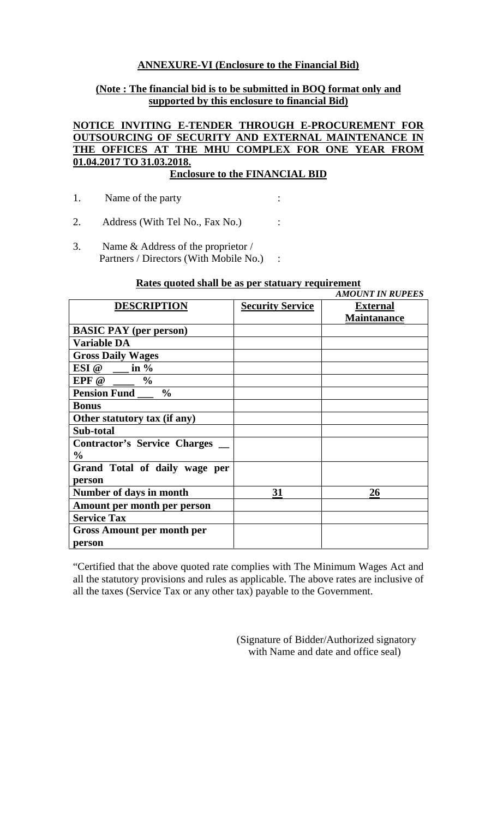### **ANNEXURE-VI (Enclosure to the Financial Bid)**

### **(Note : The financial bid is to be submitted in BOQ format only and supported by this enclosure to financial Bid)**

# **NOTICE INVITING E-TENDER THROUGH E-PROCUREMENT FOR OUTSOURCING OF SECURITY AND EXTERNAL MAINTENANCE IN THE OFFICES AT THE MHU COMPLEX FOR ONE YEAR FROM 01.04.2017 TO 31.03.2018.**

# **Enclosure to the FINANCIAL BID**

- 1. Name of the party :
- 2. Address (With Tel No., Fax No.) :
- 3. Name & Address of the proprietor / Partners / Directors (With Mobile No.) :

#### **Rates quoted shall be as per statuary requirement**

|                                                      |                         | <b>AMOUNT IN RUPEES</b>               |
|------------------------------------------------------|-------------------------|---------------------------------------|
| <b>DESCRIPTION</b>                                   | <b>Security Service</b> | <b>External</b><br><b>Maintanance</b> |
| <b>BASIC PAY</b> (per person)                        |                         |                                       |
| <b>Variable DA</b>                                   |                         |                                       |
| <b>Gross Daily Wages</b>                             |                         |                                       |
| ESI @<br>in $\%$                                     |                         |                                       |
| EPF @<br>$\frac{6}{6}$                               |                         |                                       |
| $\frac{0}{0}$<br><b>Pension Fund</b>                 |                         |                                       |
| <b>Bonus</b>                                         |                         |                                       |
| Other statutory tax (if any)                         |                         |                                       |
| Sub-total                                            |                         |                                       |
| <b>Contractor's Service Charges</b><br>$\frac{6}{9}$ |                         |                                       |
| Grand Total of daily wage per                        |                         |                                       |
| person                                               |                         |                                       |
| Number of days in month                              | 31                      | 26                                    |
| Amount per month per person                          |                         |                                       |
| <b>Service Tax</b>                                   |                         |                                       |
| <b>Gross Amount per month per</b>                    |                         |                                       |
| person                                               |                         |                                       |

"Certified that the above quoted rate complies with The Minimum Wages Act and all the statutory provisions and rules as applicable. The above rates are inclusive of all the taxes (Service Tax or any other tax) payable to the Government.

> (Signature of Bidder/Authorized signatory with Name and date and office seal)